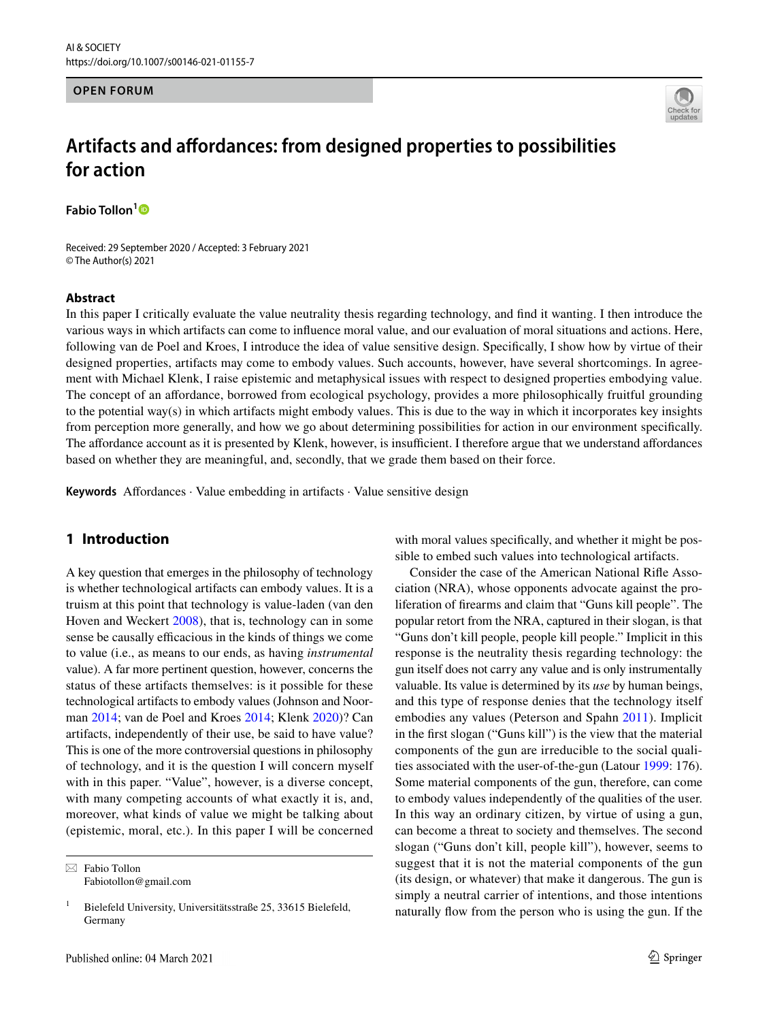#### **OPEN FORUM**



# **Artifacts and afordances: from designed properties to possibilities for action**

**Fabio Tollon[1](http://orcid.org/0000-0001-7724-3690)**

Received: 29 September 2020 / Accepted: 3 February 2021 © The Author(s) 2021

#### **Abstract**

In this paper I critically evaluate the value neutrality thesis regarding technology, and fnd it wanting. I then introduce the various ways in which artifacts can come to infuence moral value, and our evaluation of moral situations and actions. Here, following van de Poel and Kroes, I introduce the idea of value sensitive design. Specifcally, I show how by virtue of their designed properties, artifacts may come to embody values. Such accounts, however, have several shortcomings. In agreement with Michael Klenk, I raise epistemic and metaphysical issues with respect to designed properties embodying value. The concept of an afordance, borrowed from ecological psychology, provides a more philosophically fruitful grounding to the potential way(s) in which artifacts might embody values. This is due to the way in which it incorporates key insights from perception more generally, and how we go about determining possibilities for action in our environment specifcally. The affordance account as it is presented by Klenk, however, is insufficient. I therefore argue that we understand affordances based on whether they are meaningful, and, secondly, that we grade them based on their force.

**Keywords** Affordances · Value embedding in artifacts · Value sensitive design

# **1 Introduction**

A key question that emerges in the philosophy of technology is whether technological artifacts can embody values. It is a truism at this point that technology is value-laden (van den Hoven and Weckert [2008](#page-9-0)), that is, technology can in some sense be causally efficacious in the kinds of things we come to value (i.e., as means to our ends, as having *instrumental* value). A far more pertinent question, however, concerns the status of these artifacts themselves: is it possible for these technological artifacts to embody values (Johnson and Noorman [2014](#page-9-1); van de Poel and Kroes [2014;](#page-9-2) Klenk [2020\)](#page-9-3)? Can artifacts, independently of their use, be said to have value? This is one of the more controversial questions in philosophy of technology, and it is the question I will concern myself with in this paper. "Value", however, is a diverse concept, with many competing accounts of what exactly it is, and, moreover, what kinds of value we might be talking about (epistemic, moral, etc.). In this paper I will be concerned

 $\boxtimes$  Fabio Tollon Fabiotollon@gmail.com with moral values specifically, and whether it might be possible to embed such values into technological artifacts.

Consider the case of the American National Rife Association (NRA), whose opponents advocate against the proliferation of frearms and claim that "Guns kill people". The popular retort from the NRA, captured in their slogan, is that "Guns don't kill people, people kill people." Implicit in this response is the neutrality thesis regarding technology: the gun itself does not carry any value and is only instrumentally valuable. Its value is determined by its *use* by human beings, and this type of response denies that the technology itself embodies any values (Peterson and Spahn [2011\)](#page-9-4). Implicit in the frst slogan ("Guns kill") is the view that the material components of the gun are irreducible to the social qualities associated with the user-of-the-gun (Latour [1999](#page-9-5): 176). Some material components of the gun, therefore, can come to embody values independently of the qualities of the user. In this way an ordinary citizen, by virtue of using a gun, can become a threat to society and themselves. The second slogan ("Guns don't kill, people kill"), however, seems to suggest that it is not the material components of the gun (its design, or whatever) that make it dangerous. The gun is simply a neutral carrier of intentions, and those intentions naturally fow from the person who is using the gun. If the

<sup>&</sup>lt;sup>1</sup> Bielefeld University, Universitätsstraße 25, 33615 Bielefeld, Germany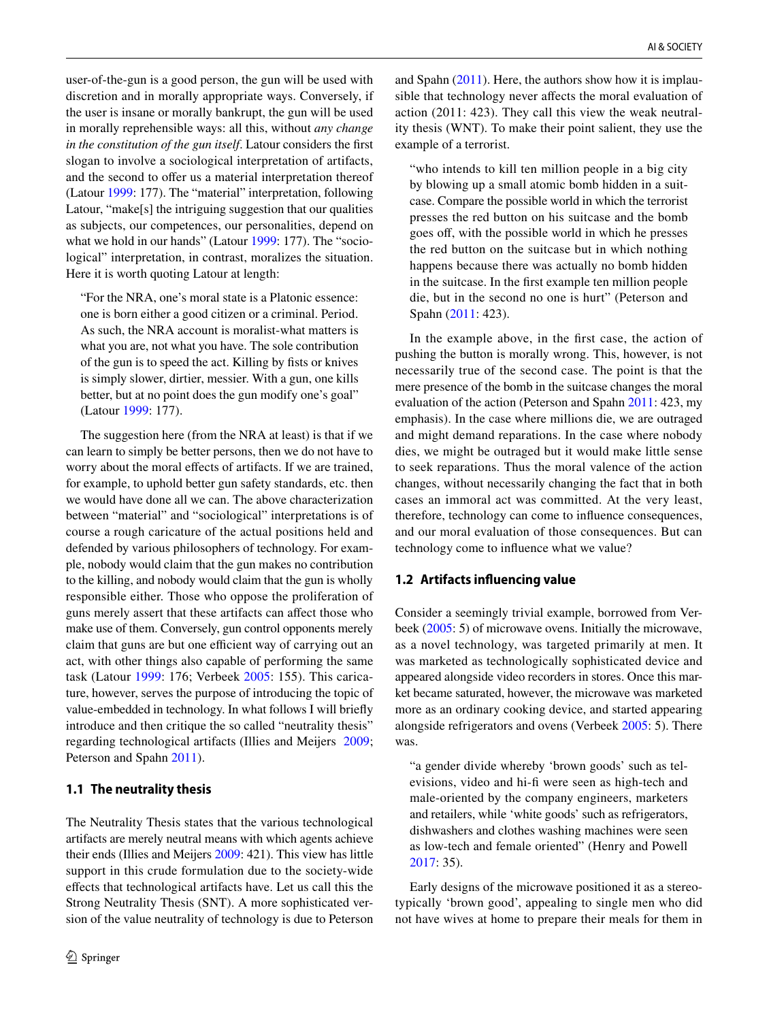user-of-the-gun is a good person, the gun will be used with discretion and in morally appropriate ways. Conversely, if the user is insane or morally bankrupt, the gun will be used in morally reprehensible ways: all this, without *any change in the constitution of the gun itself*. Latour considers the frst slogan to involve a sociological interpretation of artifacts, and the second to offer us a material interpretation thereof (Latour [1999:](#page-9-5) 177). The "material" interpretation, following Latour, "make[s] the intriguing suggestion that our qualities as subjects, our competences, our personalities, depend on what we hold in our hands" (Latour [1999](#page-9-5): 177). The "sociological" interpretation, in contrast, moralizes the situation. Here it is worth quoting Latour at length:

"For the NRA, one's moral state is a Platonic essence: one is born either a good citizen or a criminal. Period. As such, the NRA account is moralist-what matters is what you are, not what you have. The sole contribution of the gun is to speed the act. Killing by fsts or knives is simply slower, dirtier, messier. With a gun, one kills better, but at no point does the gun modify one's goal" (Latour [1999](#page-9-5): 177).

The suggestion here (from the NRA at least) is that if we can learn to simply be better persons, then we do not have to worry about the moral effects of artifacts. If we are trained, for example, to uphold better gun safety standards, etc. then we would have done all we can. The above characterization between "material" and "sociological" interpretations is of course a rough caricature of the actual positions held and defended by various philosophers of technology. For example, nobody would claim that the gun makes no contribution to the killing, and nobody would claim that the gun is wholly responsible either. Those who oppose the proliferation of guns merely assert that these artifacts can afect those who make use of them. Conversely, gun control opponents merely claim that guns are but one efficient way of carrying out an act, with other things also capable of performing the same task (Latour [1999:](#page-9-5) 176; Verbeek [2005:](#page-9-6) 155). This caricature, however, serves the purpose of introducing the topic of value-embedded in technology. In what follows I will briefy introduce and then critique the so called "neutrality thesis" regarding technological artifacts (Illies and Meijers [2009](#page-9-7); Peterson and Spahn [2011\)](#page-9-4).

#### **1.1 The neutrality thesis**

The Neutrality Thesis states that the various technological artifacts are merely neutral means with which agents achieve their ends (Illies and Meijers [2009](#page-9-7): 421). This view has little support in this crude formulation due to the society-wide efects that technological artifacts have. Let us call this the Strong Neutrality Thesis (SNT). A more sophisticated version of the value neutrality of technology is due to Peterson and Spahn  $(2011)$  $(2011)$  $(2011)$ . Here, the authors show how it is implausible that technology never afects the moral evaluation of action (2011: 423). They call this view the weak neutrality thesis (WNT). To make their point salient, they use the example of a terrorist.

"who intends to kill ten million people in a big city by blowing up a small atomic bomb hidden in a suitcase. Compare the possible world in which the terrorist presses the red button on his suitcase and the bomb goes of, with the possible world in which he presses the red button on the suitcase but in which nothing happens because there was actually no bomb hidden in the suitcase. In the frst example ten million people die, but in the second no one is hurt" (Peterson and Spahn ([2011:](#page-9-4) 423).

In the example above, in the frst case, the action of pushing the button is morally wrong. This, however, is not necessarily true of the second case. The point is that the mere presence of the bomb in the suitcase changes the moral evaluation of the action (Peterson and Spahn [2011:](#page-9-4) 423, my emphasis). In the case where millions die, we are outraged and might demand reparations. In the case where nobody dies, we might be outraged but it would make little sense to seek reparations. Thus the moral valence of the action changes, without necessarily changing the fact that in both cases an immoral act was committed. At the very least, therefore, technology can come to infuence consequences, and our moral evaluation of those consequences. But can technology come to infuence what we value?

#### **1.2 Artifacts infuencing value**

Consider a seemingly trivial example, borrowed from Verbeek ([2005:](#page-9-6) 5) of microwave ovens. Initially the microwave, as a novel technology, was targeted primarily at men. It was marketed as technologically sophisticated device and appeared alongside video recorders in stores. Once this market became saturated, however, the microwave was marketed more as an ordinary cooking device, and started appearing alongside refrigerators and ovens (Verbeek [2005](#page-9-6): 5). There was.

"a gender divide whereby 'brown goods' such as televisions, video and hi-f were seen as high-tech and male-oriented by the company engineers, marketers and retailers, while 'white goods' such as refrigerators, dishwashers and clothes washing machines were seen as low-tech and female oriented" (Henry and Powell [2017:](#page-9-8) 35).

Early designs of the microwave positioned it as a stereotypically 'brown good', appealing to single men who did not have wives at home to prepare their meals for them in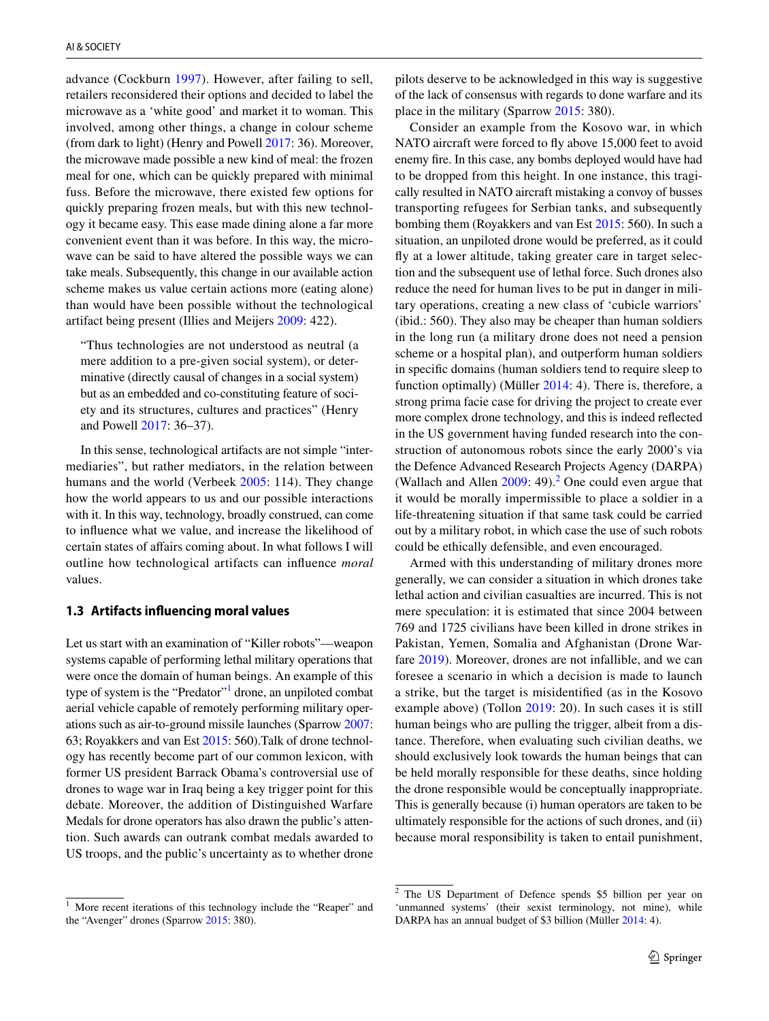advance (Cockburn [1997](#page-9-9)). However, after failing to sell, retailers reconsidered their options and decided to label the microwave as a 'white good' and market it to woman. This involved, among other things, a change in colour scheme (from dark to light) (Henry and Powell [2017](#page-9-8): 36). Moreover, the microwave made possible a new kind of meal: the frozen meal for one, which can be quickly prepared with minimal fuss. Before the microwave, there existed few options for quickly preparing frozen meals, but with this new technology it became easy. This ease made dining alone a far more convenient event than it was before. In this way, the microwave can be said to have altered the possible ways we can take meals. Subsequently, this change in our available action scheme makes us value certain actions more (eating alone) than would have been possible without the technological artifact being present (Illies and Meijers [2009:](#page-9-7) 422).

"Thus technologies are not understood as neutral (a mere addition to a pre-given social system), or determinative (directly causal of changes in a social system) but as an embedded and co-constituting feature of society and its structures, cultures and practices" (Henry and Powell [2017:](#page-9-8) 36–37).

In this sense, technological artifacts are not simple "intermediaries", but rather mediators, in the relation between humans and the world (Verbeek [2005:](#page-9-6) 114). They change how the world appears to us and our possible interactions with it. In this way, technology, broadly construed, can come to infuence what we value, and increase the likelihood of certain states of afairs coming about. In what follows I will outline how technological artifacts can infuence *moral* values.

## **1.3 Artifacts infuencing moral values**

Let us start with an examination of "Killer robots"—weapon systems capable of performing lethal military operations that were once the domain of human beings. An example of this type of system is the "Predator"<sup>[1](#page-2-0)</sup> drone, an unpiloted combat aerial vehicle capable of remotely performing military operations such as air-to-ground missile launches (Sparrow [2007](#page-9-10): 63; Royakkers and van Est [2015:](#page-9-11) 560).Talk of drone technology has recently become part of our common lexicon, with former US president Barrack Obama's controversial use of drones to wage war in Iraq being a key trigger point for this debate. Moreover, the addition of Distinguished Warfare Medals for drone operators has also drawn the public's attention. Such awards can outrank combat medals awarded to US troops, and the public's uncertainty as to whether drone

pilots deserve to be acknowledged in this way is suggestive of the lack of consensus with regards to done warfare and its place in the military (Sparrow [2015](#page-9-12): 380).

Consider an example from the Kosovo war, in which NATO aircraft were forced to fy above 15,000 feet to avoid enemy fre. In this case, any bombs deployed would have had to be dropped from this height. In one instance, this tragically resulted in NATO aircraft mistaking a convoy of busses transporting refugees for Serbian tanks, and subsequently bombing them (Royakkers and van Est [2015](#page-9-11): 560). In such a situation, an unpiloted drone would be preferred, as it could fy at a lower altitude, taking greater care in target selection and the subsequent use of lethal force. Such drones also reduce the need for human lives to be put in danger in military operations, creating a new class of 'cubicle warriors' (ibid.: 560). They also may be cheaper than human soldiers in the long run (a military drone does not need a pension scheme or a hospital plan), and outperform human soldiers in specifc domains (human soldiers tend to require sleep to function optimally) (Müller [2014:](#page-9-13) 4). There is, therefore, a strong prima facie case for driving the project to create ever more complex drone technology, and this is indeed refected in the US government having funded research into the construction of autonomous robots since the early 2000's via the Defence Advanced Research Projects Agency (DARPA) (Wallach and Allen  $2009: 49$  $2009: 49$ ).<sup>2</sup> One could even argue that it would be morally impermissible to place a soldier in a life-threatening situation if that same task could be carried out by a military robot, in which case the use of such robots could be ethically defensible, and even encouraged.

Armed with this understanding of military drones more generally, we can consider a situation in which drones take lethal action and civilian casualties are incurred. This is not mere speculation: it is estimated that since 2004 between 769 and 1725 civilians have been killed in drone strikes in Pakistan, Yemen, Somalia and Afghanistan (Drone Warfare [2019](#page-9-15)). Moreover, drones are not infallible, and we can foresee a scenario in which a decision is made to launch a strike, but the target is misidentifed (as in the Kosovo example above) (Tollon [2019:](#page-9-16) 20). In such cases it is still human beings who are pulling the trigger, albeit from a distance. Therefore, when evaluating such civilian deaths, we should exclusively look towards the human beings that can be held morally responsible for these deaths, since holding the drone responsible would be conceptually inappropriate. This is generally because (i) human operators are taken to be ultimately responsible for the actions of such drones, and (ii) because moral responsibility is taken to entail punishment,

<span id="page-2-0"></span><sup>&</sup>lt;sup>1</sup> More recent iterations of this technology include the "Reaper" and the "Avenger" drones (Sparrow [2015](#page-9-12): 380).

<span id="page-2-1"></span><sup>2</sup> The US Department of Defence spends \$5 billion per year on 'unmanned systems' (their sexist terminology, not mine), while DARPA has an annual budget of \$3 billion (Müller [2014:](#page-9-13) 4).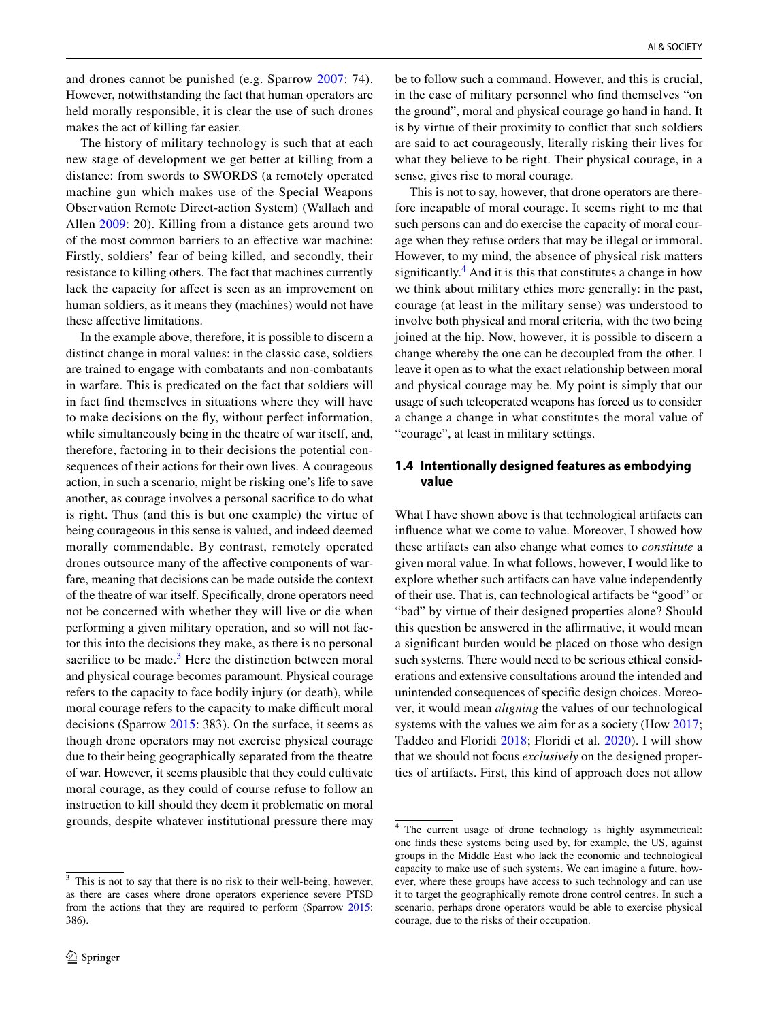and drones cannot be punished (e.g. Sparrow [2007](#page-9-10): 74). However, notwithstanding the fact that human operators are held morally responsible, it is clear the use of such drones makes the act of killing far easier.

The history of military technology is such that at each new stage of development we get better at killing from a distance: from swords to SWORDS (a remotely operated machine gun which makes use of the Special Weapons Observation Remote Direct-action System) (Wallach and Allen [2009:](#page-9-14) 20). Killing from a distance gets around two of the most common barriers to an efective war machine: Firstly, soldiers' fear of being killed, and secondly, their resistance to killing others. The fact that machines currently lack the capacity for affect is seen as an improvement on human soldiers, as it means they (machines) would not have these afective limitations.

In the example above, therefore, it is possible to discern a distinct change in moral values: in the classic case, soldiers are trained to engage with combatants and non-combatants in warfare. This is predicated on the fact that soldiers will in fact fnd themselves in situations where they will have to make decisions on the fy, without perfect information, while simultaneously being in the theatre of war itself, and, therefore, factoring in to their decisions the potential consequences of their actions for their own lives. A courageous action, in such a scenario, might be risking one's life to save another, as courage involves a personal sacrifce to do what is right. Thus (and this is but one example) the virtue of being courageous in this sense is valued, and indeed deemed morally commendable. By contrast, remotely operated drones outsource many of the afective components of warfare, meaning that decisions can be made outside the context of the theatre of war itself. Specifcally, drone operators need not be concerned with whether they will live or die when performing a given military operation, and so will not factor this into the decisions they make, as there is no personal sacrifice to be made. $3$  Here the distinction between moral and physical courage becomes paramount. Physical courage refers to the capacity to face bodily injury (or death), while moral courage refers to the capacity to make difficult moral decisions (Sparrow [2015:](#page-9-12) 383). On the surface, it seems as though drone operators may not exercise physical courage due to their being geographically separated from the theatre of war. However, it seems plausible that they could cultivate moral courage, as they could of course refuse to follow an instruction to kill should they deem it problematic on moral grounds, despite whatever institutional pressure there may

be to follow such a command. However, and this is crucial, in the case of military personnel who fnd themselves "on the ground", moral and physical courage go hand in hand. It is by virtue of their proximity to confict that such soldiers are said to act courageously, literally risking their lives for what they believe to be right. Their physical courage, in a sense, gives rise to moral courage.

This is not to say, however, that drone operators are therefore incapable of moral courage. It seems right to me that such persons can and do exercise the capacity of moral courage when they refuse orders that may be illegal or immoral. However, to my mind, the absence of physical risk matters significantly. $4$  And it is this that constitutes a change in how we think about military ethics more generally: in the past, courage (at least in the military sense) was understood to involve both physical and moral criteria, with the two being joined at the hip. Now, however, it is possible to discern a change whereby the one can be decoupled from the other. I leave it open as to what the exact relationship between moral and physical courage may be. My point is simply that our usage of such teleoperated weapons has forced us to consider a change a change in what constitutes the moral value of "courage", at least in military settings.

## **1.4 Intentionally designed features as embodying value**

What I have shown above is that technological artifacts can infuence what we come to value. Moreover, I showed how these artifacts can also change what comes to *constitute* a given moral value. In what follows, however, I would like to explore whether such artifacts can have value independently of their use. That is, can technological artifacts be "good" or "bad" by virtue of their designed properties alone? Should this question be answered in the affirmative, it would mean a signifcant burden would be placed on those who design such systems. There would need to be serious ethical considerations and extensive consultations around the intended and unintended consequences of specifc design choices. Moreover, it would mean *aligning* the values of our technological systems with the values we aim for as a society (How [2017](#page-9-17); Taddeo and Floridi [2018](#page-9-18); Floridi et al*.* [2020\)](#page-9-19). I will show that we should not focus *exclusively* on the designed properties of artifacts. First, this kind of approach does not allow

<span id="page-3-0"></span><sup>&</sup>lt;sup>3</sup> This is not to say that there is no risk to their well-being, however, as there are cases where drone operators experience severe PTSD from the actions that they are required to perform (Sparrow [2015:](#page-9-12) 386).

<span id="page-3-1"></span><sup>4</sup> The current usage of drone technology is highly asymmetrical: one fnds these systems being used by, for example, the US, against groups in the Middle East who lack the economic and technological capacity to make use of such systems. We can imagine a future, however, where these groups have access to such technology and can use it to target the geographically remote drone control centres. In such a scenario, perhaps drone operators would be able to exercise physical courage, due to the risks of their occupation.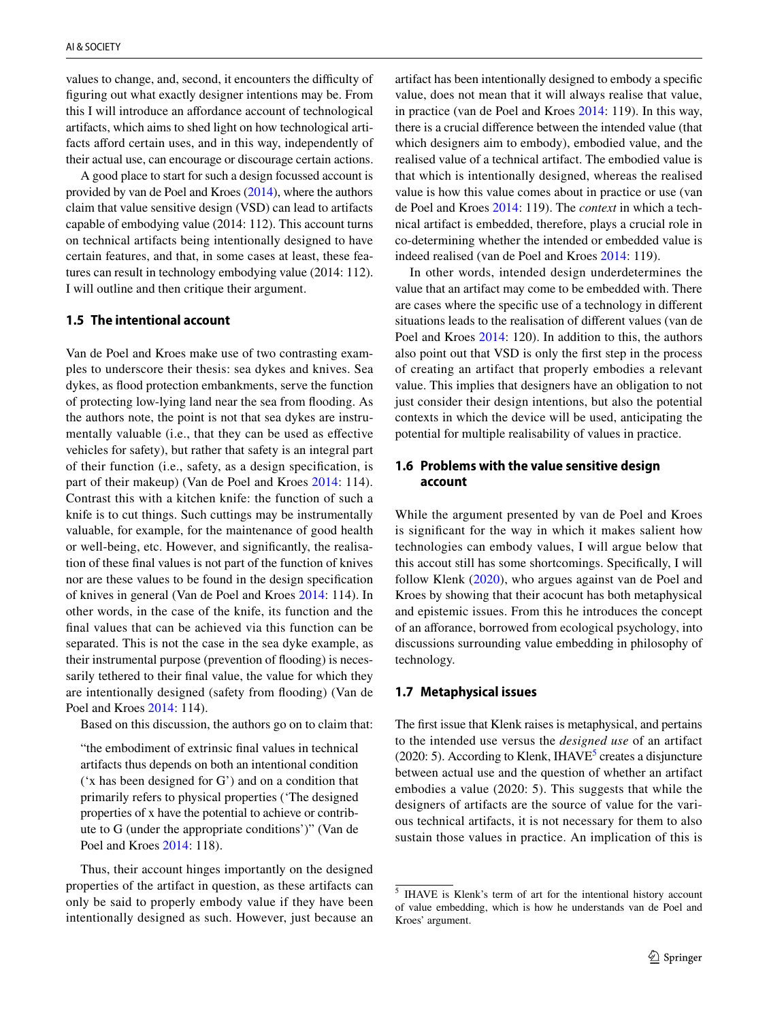values to change, and, second, it encounters the difficulty of fguring out what exactly designer intentions may be. From this I will introduce an afordance account of technological artifacts, which aims to shed light on how technological artifacts afford certain uses, and in this way, independently of their actual use, can encourage or discourage certain actions.

A good place to start for such a design focussed account is provided by van de Poel and Kroes [\(2014\)](#page-9-2), where the authors claim that value sensitive design (VSD) can lead to artifacts capable of embodying value (2014: 112). This account turns on technical artifacts being intentionally designed to have certain features, and that, in some cases at least, these features can result in technology embodying value (2014: 112). I will outline and then critique their argument.

## **1.5 The intentional account**

Van de Poel and Kroes make use of two contrasting examples to underscore their thesis: sea dykes and knives. Sea dykes, as food protection embankments, serve the function of protecting low-lying land near the sea from fooding. As the authors note, the point is not that sea dykes are instrumentally valuable (i.e., that they can be used as efective vehicles for safety), but rather that safety is an integral part of their function (i.e., safety, as a design specifcation, is part of their makeup) (Van de Poel and Kroes [2014](#page-9-2): 114). Contrast this with a kitchen knife: the function of such a knife is to cut things. Such cuttings may be instrumentally valuable, for example, for the maintenance of good health or well-being, etc. However, and signifcantly, the realisation of these fnal values is not part of the function of knives nor are these values to be found in the design specifcation of knives in general (Van de Poel and Kroes [2014:](#page-9-2) 114). In other words, in the case of the knife, its function and the fnal values that can be achieved via this function can be separated. This is not the case in the sea dyke example, as their instrumental purpose (prevention of flooding) is necessarily tethered to their fnal value, the value for which they are intentionally designed (safety from fooding) (Van de Poel and Kroes [2014:](#page-9-2) 114).

Based on this discussion, the authors go on to claim that:

"the embodiment of extrinsic fnal values in technical artifacts thus depends on both an intentional condition ('x has been designed for G') and on a condition that primarily refers to physical properties ('The designed properties of x have the potential to achieve or contribute to G (under the appropriate conditions')" (Van de Poel and Kroes [2014](#page-9-2): 118).

Thus, their account hinges importantly on the designed properties of the artifact in question, as these artifacts can only be said to properly embody value if they have been intentionally designed as such. However, just because an artifact has been intentionally designed to embody a specifc value, does not mean that it will always realise that value, in practice (van de Poel and Kroes [2014](#page-9-2): 119). In this way, there is a crucial diference between the intended value (that which designers aim to embody), embodied value, and the realised value of a technical artifact. The embodied value is that which is intentionally designed, whereas the realised value is how this value comes about in practice or use (van de Poel and Kroes [2014:](#page-9-2) 119). The *context* in which a technical artifact is embedded, therefore, plays a crucial role in co-determining whether the intended or embedded value is indeed realised (van de Poel and Kroes [2014:](#page-9-2) 119).

In other words, intended design underdetermines the value that an artifact may come to be embedded with. There are cases where the specifc use of a technology in diferent situations leads to the realisation of diferent values (van de Poel and Kroes [2014](#page-9-2): 120). In addition to this, the authors also point out that VSD is only the frst step in the process of creating an artifact that properly embodies a relevant value. This implies that designers have an obligation to not just consider their design intentions, but also the potential contexts in which the device will be used, anticipating the potential for multiple realisability of values in practice.

## **1.6 Problems with the value sensitive design account**

While the argument presented by van de Poel and Kroes is signifcant for the way in which it makes salient how technologies can embody values, I will argue below that this accout still has some shortcomings. Specifcally, I will follow Klenk ([2020](#page-9-3)), who argues against van de Poel and Kroes by showing that their acocunt has both metaphysical and epistemic issues. From this he introduces the concept of an aforance, borrowed from ecological psychology, into discussions surrounding value embedding in philosophy of technology.

#### **1.7 Metaphysical issues**

The frst issue that Klenk raises is metaphysical, and pertains to the intended use versus the *designed use* of an artifact  $(2020: 5)$  $(2020: 5)$  $(2020: 5)$ . According to Klenk, IHAVE<sup>5</sup> creates a disjuncture between actual use and the question of whether an artifact embodies a value (2020: 5). This suggests that while the designers of artifacts are the source of value for the various technical artifacts, it is not necessary for them to also sustain those values in practice. An implication of this is

<span id="page-4-0"></span><sup>5</sup> IHAVE is Klenk's term of art for the intentional history account of value embedding, which is how he understands van de Poel and Kroes' argument.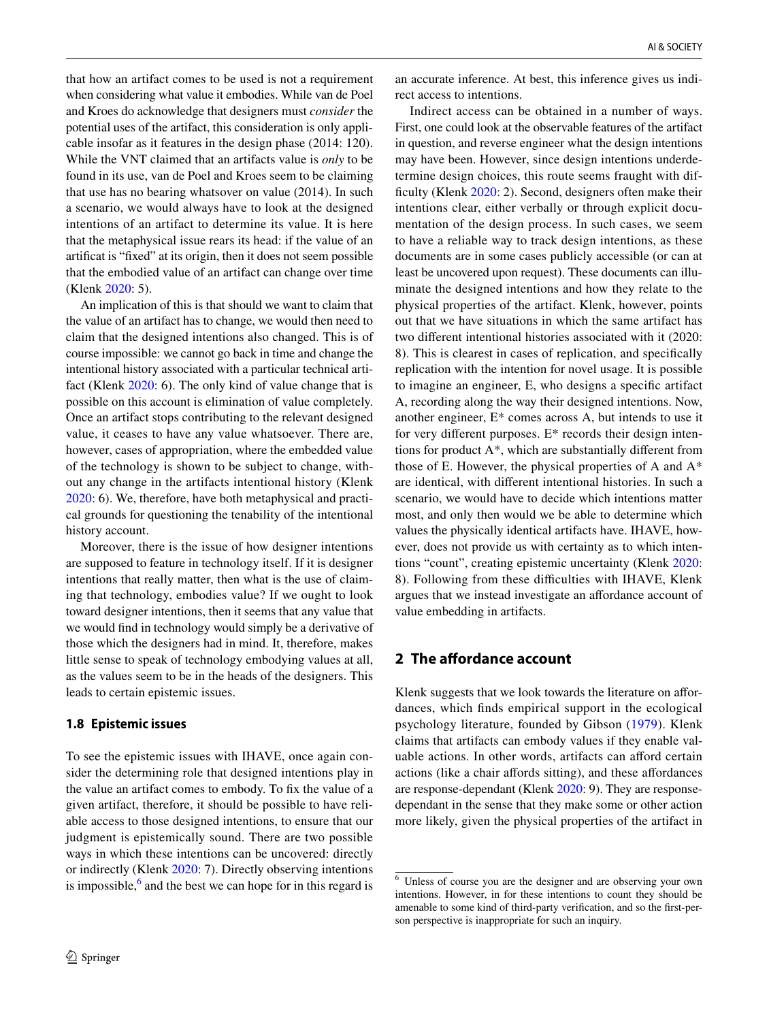that how an artifact comes to be used is not a requirement when considering what value it embodies. While van de Poel and Kroes do acknowledge that designers must *consider* the potential uses of the artifact, this consideration is only applicable insofar as it features in the design phase (2014: 120). While the VNT claimed that an artifacts value is *only* to be found in its use, van de Poel and Kroes seem to be claiming that use has no bearing whatsover on value (2014). In such a scenario, we would always have to look at the designed intentions of an artifact to determine its value. It is here that the metaphysical issue rears its head: if the value of an artifcat is "fxed" at its origin, then it does not seem possible that the embodied value of an artifact can change over time (Klenk [2020:](#page-9-3) 5).

An implication of this is that should we want to claim that the value of an artifact has to change, we would then need to claim that the designed intentions also changed. This is of course impossible: we cannot go back in time and change the intentional history associated with a particular technical artifact (Klenk [2020:](#page-9-3) 6). The only kind of value change that is possible on this account is elimination of value completely. Once an artifact stops contributing to the relevant designed value, it ceases to have any value whatsoever. There are, however, cases of appropriation, where the embedded value of the technology is shown to be subject to change, without any change in the artifacts intentional history (Klenk [2020](#page-9-3): 6). We, therefore, have both metaphysical and practical grounds for questioning the tenability of the intentional history account.

Moreover, there is the issue of how designer intentions are supposed to feature in technology itself. If it is designer intentions that really matter, then what is the use of claiming that technology, embodies value? If we ought to look toward designer intentions, then it seems that any value that we would fnd in technology would simply be a derivative of those which the designers had in mind. It, therefore, makes little sense to speak of technology embodying values at all, as the values seem to be in the heads of the designers. This leads to certain epistemic issues.

#### **1.8 Epistemic issues**

To see the epistemic issues with IHAVE, once again consider the determining role that designed intentions play in the value an artifact comes to embody. To fx the value of a given artifact, therefore, it should be possible to have reliable access to those designed intentions, to ensure that our judgment is epistemically sound. There are two possible ways in which these intentions can be uncovered: directly or indirectly (Klenk [2020](#page-9-3): 7). Directly observing intentions is impossible,  $6$  and the best we can hope for in this regard is an accurate inference. At best, this inference gives us indirect access to intentions.

Indirect access can be obtained in a number of ways. First, one could look at the observable features of the artifact in question, and reverse engineer what the design intentions may have been. However, since design intentions underdetermine design choices, this route seems fraught with diffculty (Klenk [2020:](#page-9-3) 2). Second, designers often make their intentions clear, either verbally or through explicit documentation of the design process. In such cases, we seem to have a reliable way to track design intentions, as these documents are in some cases publicly accessible (or can at least be uncovered upon request). These documents can illuminate the designed intentions and how they relate to the physical properties of the artifact. Klenk, however, points out that we have situations in which the same artifact has two diferent intentional histories associated with it (2020: 8). This is clearest in cases of replication, and specifcally replication with the intention for novel usage. It is possible to imagine an engineer, E, who designs a specifc artifact A, recording along the way their designed intentions. Now, another engineer, E\* comes across A, but intends to use it for very diferent purposes. E\* records their design intentions for product A\*, which are substantially diferent from those of E. However, the physical properties of A and A\* are identical, with diferent intentional histories. In such a scenario, we would have to decide which intentions matter most, and only then would we be able to determine which values the physically identical artifacts have. IHAVE, however, does not provide us with certainty as to which intentions "count", creating epistemic uncertainty (Klenk [2020](#page-9-3): 8). Following from these difficulties with IHAVE, Klenk argues that we instead investigate an afordance account of value embedding in artifacts.

# **2 The affordance account**

Klenk suggests that we look towards the literature on afordances, which fnds empirical support in the ecological psychology literature, founded by Gibson ([1979\)](#page-9-20). Klenk claims that artifacts can embody values if they enable valuable actions. In other words, artifacts can aford certain actions (like a chair affords sitting), and these affordances are response-dependant (Klenk [2020](#page-9-3): 9). They are responsedependant in the sense that they make some or other action more likely, given the physical properties of the artifact in

<span id="page-5-0"></span><sup>6</sup> Unless of course you are the designer and are observing your own intentions. However, in for these intentions to count they should be amenable to some kind of third-party verifcation, and so the frst-person perspective is inappropriate for such an inquiry.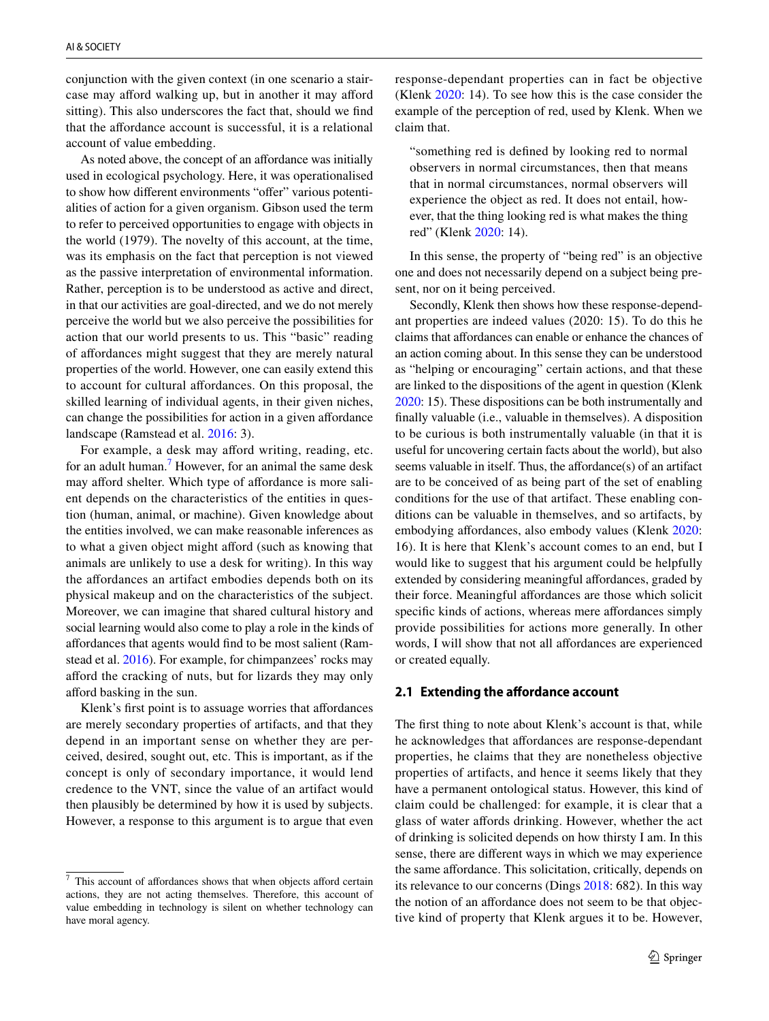conjunction with the given context (in one scenario a staircase may afford walking up, but in another it may afford sitting). This also underscores the fact that, should we fnd that the afordance account is successful, it is a relational account of value embedding.

As noted above, the concept of an affordance was initially used in ecological psychology. Here, it was operationalised to show how different environments "offer" various potentialities of action for a given organism. Gibson used the term to refer to perceived opportunities to engage with objects in the world (1979). The novelty of this account, at the time, was its emphasis on the fact that perception is not viewed as the passive interpretation of environmental information. Rather, perception is to be understood as active and direct, in that our activities are goal-directed, and we do not merely perceive the world but we also perceive the possibilities for action that our world presents to us. This "basic" reading of afordances might suggest that they are merely natural properties of the world. However, one can easily extend this to account for cultural afordances. On this proposal, the skilled learning of individual agents, in their given niches, can change the possibilities for action in a given afordance landscape (Ramstead et al. [2016](#page-9-21): 3).

For example, a desk may afford writing, reading, etc. for an adult human.<sup>[7](#page-6-0)</sup> However, for an animal the same desk may afford shelter. Which type of affordance is more salient depends on the characteristics of the entities in question (human, animal, or machine). Given knowledge about the entities involved, we can make reasonable inferences as to what a given object might afford (such as knowing that animals are unlikely to use a desk for writing). In this way the affordances an artifact embodies depends both on its physical makeup and on the characteristics of the subject. Moreover, we can imagine that shared cultural history and social learning would also come to play a role in the kinds of afordances that agents would fnd to be most salient (Ramstead et al. [2016](#page-9-21)). For example, for chimpanzees' rocks may aford the cracking of nuts, but for lizards they may only afford basking in the sun.

Klenk's first point is to assuage worries that affordances are merely secondary properties of artifacts, and that they depend in an important sense on whether they are perceived, desired, sought out, etc. This is important, as if the concept is only of secondary importance, it would lend credence to the VNT, since the value of an artifact would then plausibly be determined by how it is used by subjects. However, a response to this argument is to argue that even response-dependant properties can in fact be objective (Klenk [2020](#page-9-3): 14). To see how this is the case consider the example of the perception of red, used by Klenk. When we claim that.

"something red is defned by looking red to normal observers in normal circumstances, then that means that in normal circumstances, normal observers will experience the object as red. It does not entail, however, that the thing looking red is what makes the thing red" (Klenk [2020:](#page-9-3) 14).

In this sense, the property of "being red" is an objective one and does not necessarily depend on a subject being present, nor on it being perceived.

Secondly, Klenk then shows how these response-dependant properties are indeed values (2020: 15). To do this he claims that afordances can enable or enhance the chances of an action coming about. In this sense they can be understood as "helping or encouraging" certain actions, and that these are linked to the dispositions of the agent in question (Klenk [2020:](#page-9-3) 15). These dispositions can be both instrumentally and fnally valuable (i.e., valuable in themselves). A disposition to be curious is both instrumentally valuable (in that it is useful for uncovering certain facts about the world), but also seems valuable in itself. Thus, the affordance(s) of an artifact are to be conceived of as being part of the set of enabling conditions for the use of that artifact. These enabling conditions can be valuable in themselves, and so artifacts, by embodying affordances, also embody values (Klenk [2020](#page-9-3): 16). It is here that Klenk's account comes to an end, but I would like to suggest that his argument could be helpfully extended by considering meaningful affordances, graded by their force. Meaningful afordances are those which solicit specific kinds of actions, whereas mere affordances simply provide possibilities for actions more generally. In other words, I will show that not all affordances are experienced or created equally.

#### **2.1 Extending the afordance account**

The frst thing to note about Klenk's account is that, while he acknowledges that afordances are response-dependant properties, he claims that they are nonetheless objective properties of artifacts, and hence it seems likely that they have a permanent ontological status. However, this kind of claim could be challenged: for example, it is clear that a glass of water afords drinking. However, whether the act of drinking is solicited depends on how thirsty I am. In this sense, there are diferent ways in which we may experience the same afordance. This solicitation, critically, depends on its relevance to our concerns (Dings [2018](#page-9-22): 682). In this way the notion of an afordance does not seem to be that objective kind of property that Klenk argues it to be. However,

<span id="page-6-0"></span> $7$  This account of affordances shows that when objects afford certain actions, they are not acting themselves. Therefore, this account of value embedding in technology is silent on whether technology can have moral agency.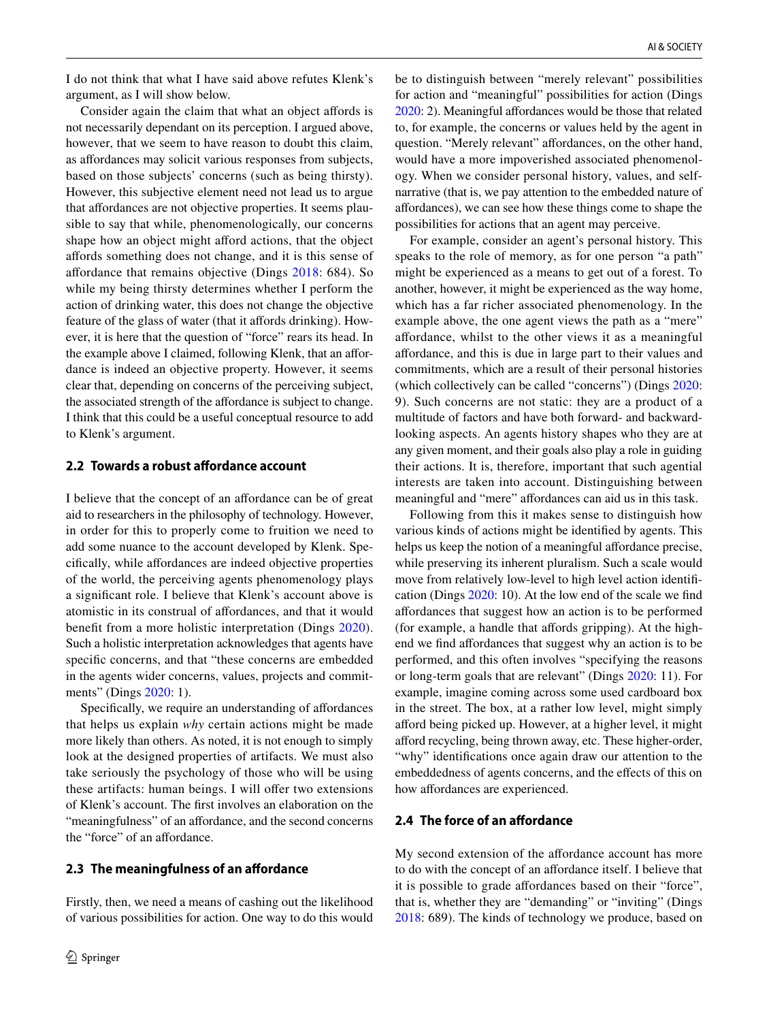I do not think that what I have said above refutes Klenk's argument, as I will show below.

Consider again the claim that what an object affords is not necessarily dependant on its perception. I argued above, however, that we seem to have reason to doubt this claim, as afordances may solicit various responses from subjects, based on those subjects' concerns (such as being thirsty). However, this subjective element need not lead us to argue that afordances are not objective properties. It seems plausible to say that while, phenomenologically, our concerns shape how an object might afford actions, that the object afords something does not change, and it is this sense of afordance that remains objective (Dings [2018](#page-9-22): 684). So while my being thirsty determines whether I perform the action of drinking water, this does not change the objective feature of the glass of water (that it afords drinking). However, it is here that the question of "force" rears its head. In the example above I claimed, following Klenk, that an afordance is indeed an objective property. However, it seems clear that, depending on concerns of the perceiving subject, the associated strength of the affordance is subject to change. I think that this could be a useful conceptual resource to add to Klenk's argument.

## **2.2 Towards a robust afordance account**

I believe that the concept of an afordance can be of great aid to researchers in the philosophy of technology. However, in order for this to properly come to fruition we need to add some nuance to the account developed by Klenk. Specifcally, while afordances are indeed objective properties of the world, the perceiving agents phenomenology plays a signifcant role. I believe that Klenk's account above is atomistic in its construal of afordances, and that it would beneft from a more holistic interpretation (Dings [2020](#page-9-23)). Such a holistic interpretation acknowledges that agents have specifc concerns, and that "these concerns are embedded in the agents wider concerns, values, projects and commit-ments" (Dings [2020](#page-9-23): 1).

Specifically, we require an understanding of affordances that helps us explain *why* certain actions might be made more likely than others. As noted, it is not enough to simply look at the designed properties of artifacts. We must also take seriously the psychology of those who will be using these artifacts: human beings. I will offer two extensions of Klenk's account. The frst involves an elaboration on the "meaningfulness" of an affordance, and the second concerns the "force" of an affordance.

#### **2.3 The meaningfulness of an afordance**

Firstly, then, we need a means of cashing out the likelihood of various possibilities for action. One way to do this would be to distinguish between "merely relevant" possibilities for action and "meaningful" possibilities for action (Dings [2020:](#page-9-23) 2). Meaningful affordances would be those that related to, for example, the concerns or values held by the agent in question. "Merely relevant" affordances, on the other hand, would have a more impoverished associated phenomenology. When we consider personal history, values, and selfnarrative (that is, we pay attention to the embedded nature of afordances), we can see how these things come to shape the possibilities for actions that an agent may perceive.

For example, consider an agent's personal history. This speaks to the role of memory, as for one person "a path" might be experienced as a means to get out of a forest. To another, however, it might be experienced as the way home, which has a far richer associated phenomenology. In the example above, the one agent views the path as a "mere" afordance, whilst to the other views it as a meaningful afordance, and this is due in large part to their values and commitments, which are a result of their personal histories (which collectively can be called "concerns") (Dings [2020](#page-9-23): 9). Such concerns are not static: they are a product of a multitude of factors and have both forward- and backwardlooking aspects. An agents history shapes who they are at any given moment, and their goals also play a role in guiding their actions. It is, therefore, important that such agential interests are taken into account. Distinguishing between meaningful and "mere" affordances can aid us in this task.

Following from this it makes sense to distinguish how various kinds of actions might be identifed by agents. This helps us keep the notion of a meaningful affordance precise, while preserving its inherent pluralism. Such a scale would move from relatively low-level to high level action identifcation (Dings [2020:](#page-9-23) 10). At the low end of the scale we fnd afordances that suggest how an action is to be performed (for example, a handle that affords gripping). At the highend we fnd afordances that suggest why an action is to be performed, and this often involves "specifying the reasons or long-term goals that are relevant" (Dings [2020](#page-9-23): 11). For example, imagine coming across some used cardboard box in the street. The box, at a rather low level, might simply aford being picked up. However, at a higher level, it might aford recycling, being thrown away, etc. These higher-order, "why" identifcations once again draw our attention to the embeddedness of agents concerns, and the efects of this on how affordances are experienced.

#### **2.4 The force of an afordance**

My second extension of the affordance account has more to do with the concept of an afordance itself. I believe that it is possible to grade affordances based on their "force", that is, whether they are "demanding" or "inviting" (Dings [2018](#page-9-22): 689). The kinds of technology we produce, based on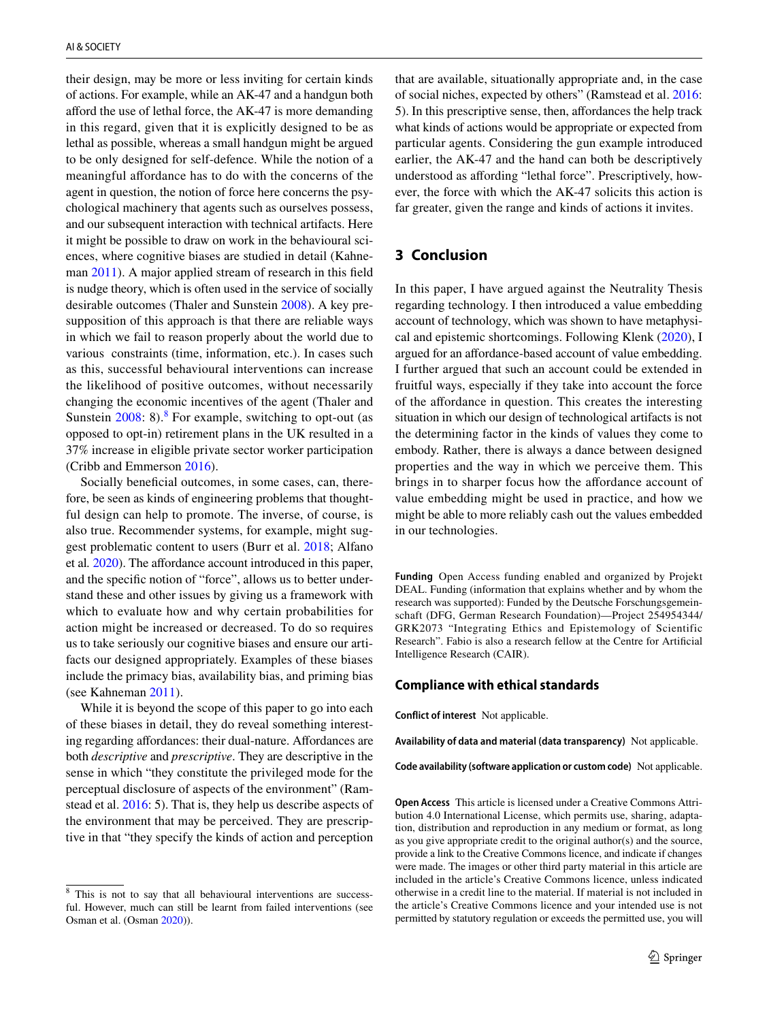their design, may be more or less inviting for certain kinds of actions. For example, while an AK-47 and a handgun both aford the use of lethal force, the AK-47 is more demanding in this regard, given that it is explicitly designed to be as lethal as possible, whereas a small handgun might be argued to be only designed for self-defence. While the notion of a meaningful affordance has to do with the concerns of the agent in question, the notion of force here concerns the psychological machinery that agents such as ourselves possess, and our subsequent interaction with technical artifacts. Here it might be possible to draw on work in the behavioural sciences, where cognitive biases are studied in detail (Kahneman [2011](#page-9-24)). A major applied stream of research in this feld is nudge theory, which is often used in the service of socially desirable outcomes (Thaler and Sunstein [2008](#page-9-25)). A key presupposition of this approach is that there are reliable ways in which we fail to reason properly about the world due to various constraints (time, information, etc.). In cases such as this, successful behavioural interventions can increase the likelihood of positive outcomes, without necessarily changing the economic incentives of the agent (Thaler and Sunstein  $2008$  $2008$ : 8).<sup>8</sup> For example, switching to opt-out (as opposed to opt-in) retirement plans in the UK resulted in a 37% increase in eligible private sector worker participation (Cribb and Emmerson [2016](#page-9-26)).

Socially beneficial outcomes, in some cases, can, therefore, be seen as kinds of engineering problems that thoughtful design can help to promote. The inverse, of course, is also true. Recommender systems, for example, might suggest problematic content to users (Burr et al. [2018;](#page-9-27) Alfano et al*.* [2020\)](#page-9-28). The afordance account introduced in this paper, and the specifc notion of "force", allows us to better understand these and other issues by giving us a framework with which to evaluate how and why certain probabilities for action might be increased or decreased. To do so requires us to take seriously our cognitive biases and ensure our artifacts our designed appropriately. Examples of these biases include the primacy bias, availability bias, and priming bias (see Kahneman [2011](#page-9-24)).

While it is beyond the scope of this paper to go into each of these biases in detail, they do reveal something interesting regarding affordances: their dual-nature. Affordances are both *descriptive* and *prescriptive*. They are descriptive in the sense in which "they constitute the privileged mode for the perceptual disclosure of aspects of the environment" (Ramstead et al. [2016:](#page-9-21) 5). That is, they help us describe aspects of the environment that may be perceived. They are prescriptive in that "they specify the kinds of action and perception that are available, situationally appropriate and, in the case of social niches, expected by others" (Ramstead et al. [2016](#page-9-21): 5). In this prescriptive sense, then, afordances the help track what kinds of actions would be appropriate or expected from particular agents. Considering the gun example introduced earlier, the AK-47 and the hand can both be descriptively understood as afording "lethal force". Prescriptively, however, the force with which the AK-47 solicits this action is far greater, given the range and kinds of actions it invites.

# **3 Conclusion**

In this paper, I have argued against the Neutrality Thesis regarding technology. I then introduced a value embedding account of technology, which was shown to have metaphysical and epistemic shortcomings. Following Klenk [\(2020\)](#page-9-3), I argued for an afordance-based account of value embedding. I further argued that such an account could be extended in fruitful ways, especially if they take into account the force of the afordance in question. This creates the interesting situation in which our design of technological artifacts is not the determining factor in the kinds of values they come to embody. Rather, there is always a dance between designed properties and the way in which we perceive them. This brings in to sharper focus how the affordance account of value embedding might be used in practice, and how we might be able to more reliably cash out the values embedded in our technologies.

**Funding** Open Access funding enabled and organized by Projekt DEAL. Funding (information that explains whether and by whom the research was supported): Funded by the Deutsche Forschungsgemeinschaft (DFG, German Research Foundation)—Project 254954344/ GRK2073 "Integrating Ethics and Epistemology of Scientific Research". Fabio is also a research fellow at the Centre for Artifcial Intelligence Research (CAIR).

#### **Compliance with ethical standards**

**Conflict of interest** Not applicable.

**Availability of data and material (data transparency)** Not applicable.

**Code availability (software application or custom code)** Not applicable.

**Open Access** This article is licensed under a Creative Commons Attribution 4.0 International License, which permits use, sharing, adaptation, distribution and reproduction in any medium or format, as long as you give appropriate credit to the original author(s) and the source, provide a link to the Creative Commons licence, and indicate if changes were made. The images or other third party material in this article are included in the article's Creative Commons licence, unless indicated otherwise in a credit line to the material. If material is not included in the article's Creative Commons licence and your intended use is not permitted by statutory regulation or exceeds the permitted use, you will

<span id="page-8-0"></span><sup>&</sup>lt;sup>8</sup> This is not to say that all behavioural interventions are successful. However, much can still be learnt from failed interventions (see Osman et al. (Osman [2020\)](#page-9-29)).